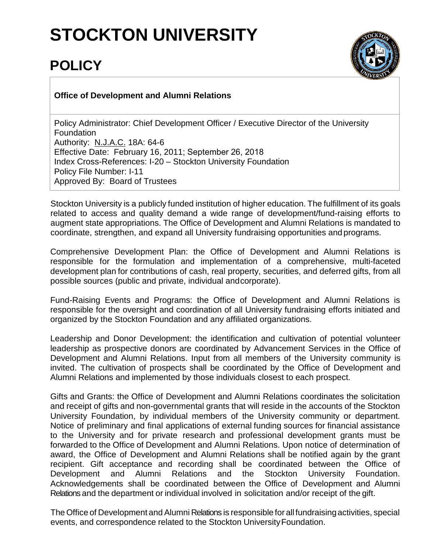## **STOCKTON UNIVERSITY**

## **POLICY**



## **Office of Development and Alumni Relations**

Policy Administrator: Chief Development Officer / Executive Director of the University Foundation Authority: N.J.A.C. 18A: 64-6 Effective Date: February 16, 2011; September 26, 2018 Index Cross-References: I-20 – Stockton University Foundation Policy File Number: I-11 Approved By: Board of Trustees

Stockton University is a publicly funded institution of higher education. The fulfillment of its goals related to access and quality demand a wide range of development/fund-raising efforts to augment state appropriations. The Office of Development and Alumni Relations is mandated to coordinate, strengthen, and expand all University fundraising opportunities and programs.

Comprehensive Development Plan: the Office of Development and Alumni Relations is responsible for the formulation and implementation of a comprehensive, multi-faceted development plan for contributions of cash, real property, securities, and deferred gifts, from all possible sources (public and private, individual andcorporate).

Fund-Raising Events and Programs: the Office of Development and Alumni Relations is responsible for the oversight and coordination of all University fundraising efforts initiated and organized by the Stockton Foundation and any affiliated organizations.

Leadership and Donor Development: the identification and cultivation of potential volunteer leadership as prospective donors are coordinated by Advancement Services in the Office of Development and Alumni Relations. Input from all members of the University community is invited. The cultivation of prospects shall be coordinated by the Office of Development and Alumni Relations and implemented by those individuals closest to each prospect.

Gifts and Grants: the Office of Development and Alumni Relations coordinates the solicitation and receipt of gifts and non-governmental grants that will reside in the accounts of the Stockton University Foundation, by individual members of the University community or department. Notice of preliminary and final applications of external funding sources for financial assistance to the University and for private research and professional development grants must be forwarded to the Office of Development and Alumni Relations. Upon notice of determination of award, the Office of Development and Alumni Relations shall be notified again by the grant recipient. Gift acceptance and recording shall be coordinated between the Office of Development and Alumni Relations and the Stockton University Foundation. Acknowledgements shall be coordinated between the Office of Development and Alumni Relations and the department or individual involved in solicitation and/or receipt of the gift.

The Office of Development and Alumni Relations is responsible for all fundraising activities, special events, and correspondence related to the Stockton UniversityFoundation.